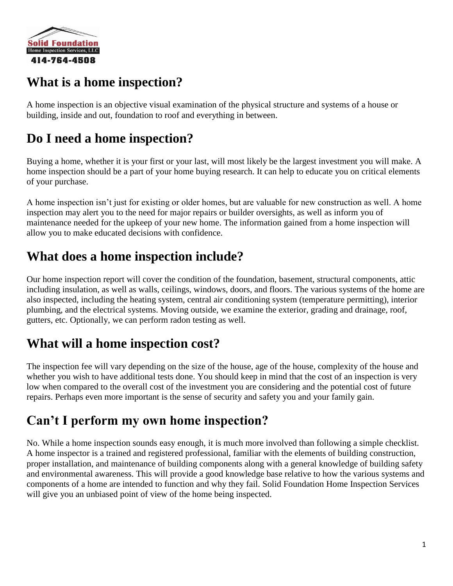

# **What is a home inspection?**

A home inspection is an objective visual examination of the physical structure and systems of a house or building, inside and out, foundation to roof and everything in between.

# **Do I need a home inspection?**

Buying a home, whether it is your first or your last, will most likely be the largest investment you will make. A home inspection should be a part of your home buying research. It can help to educate you on critical elements of your purchase.

A home inspection isn't just for existing or older homes, but are valuable for new construction as well. A home inspection may alert you to the need for major repairs or builder oversights, as well as inform you of maintenance needed for the upkeep of your new home. The information gained from a home inspection will allow you to make educated decisions with confidence.

# **What does a home inspection include?**

Our home inspection report will cover the condition of the foundation, basement, structural components, attic including insulation, as well as walls, ceilings, windows, doors, and floors. The various systems of the home are also inspected, including the heating system, central air conditioning system (temperature permitting), interior plumbing, and the electrical systems. Moving outside, we examine the exterior, grading and drainage, roof, gutters, etc. Optionally, we can perform radon testing as well.

# **What will a home inspection cost?**

The inspection fee will vary depending on the size of the house, age of the house, complexity of the house and whether you wish to have additional tests done. You should keep in mind that the cost of an inspection is very low when compared to the overall cost of the investment you are considering and the potential cost of future repairs. Perhaps even more important is the sense of security and safety you and your family gain.

# **Can't I perform my own home inspection?**

No. While a home inspection sounds easy enough, it is much more involved than following a simple checklist. A home inspector is a trained and registered professional, familiar with the elements of building construction, proper installation, and maintenance of building components along with a general knowledge of building safety and environmental awareness. This will provide a good knowledge base relative to how the various systems and components of a home are intended to function and why they fail. Solid Foundation Home Inspection Services will give you an unbiased point of view of the home being inspected.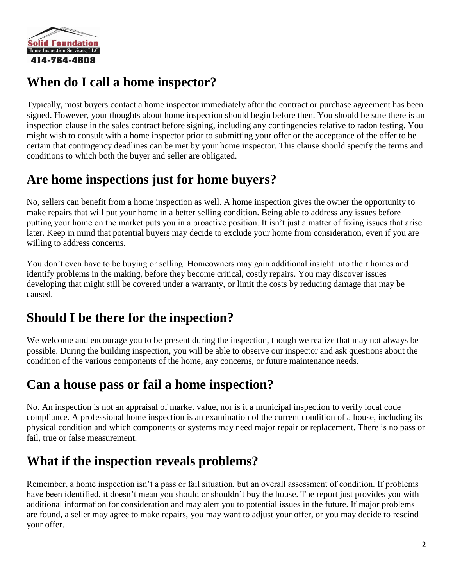

# **When do I call a home inspector?**

Typically, most buyers contact a home inspector immediately after the contract or purchase agreement has been signed. However, your thoughts about home inspection should begin before then. You should be sure there is an inspection clause in the sales contract before signing, including any contingencies relative to radon testing. You might wish to consult with a home inspector prior to submitting your offer or the acceptance of the offer to be certain that contingency deadlines can be met by your home inspector. This clause should specify the terms and conditions to which both the buyer and seller are obligated.

# **Are home inspections just for home buyers?**

No, sellers can benefit from a home inspection as well. A home inspection gives the owner the opportunity to make repairs that will put your home in a better selling condition. Being able to address any issues before putting your home on the market puts you in a proactive position. It isn't just a matter of fixing issues that arise later. Keep in mind that potential buyers may decide to exclude your home from consideration, even if you are willing to address concerns.

You don't even have to be buying or selling. Homeowners may gain additional insight into their homes and identify problems in the making, before they become critical, costly repairs. You may discover issues developing that might still be covered under a warranty, or limit the costs by reducing damage that may be caused.

# **Should I be there for the inspection?**

We welcome and encourage you to be present during the inspection, though we realize that may not always be possible. During the building inspection, you will be able to observe our inspector and ask questions about the condition of the various components of the home, any concerns, or future maintenance needs.

# **Can a house pass or fail a home inspection?**

No. An inspection is not an appraisal of market value, nor is it a municipal inspection to verify local code compliance. A professional home inspection is an examination of the current condition of a house, including its physical condition and which components or systems may need major repair or replacement. There is no pass or fail, true or false measurement.

# **What if the inspection reveals problems?**

Remember, a home inspection isn't a pass or fail situation, but an overall assessment of condition. If problems have been identified, it doesn't mean you should or shouldn't buy the house. The report just provides you with additional information for consideration and may alert you to potential issues in the future. If major problems are found, a seller may agree to make repairs, you may want to adjust your offer, or you may decide to rescind your offer.